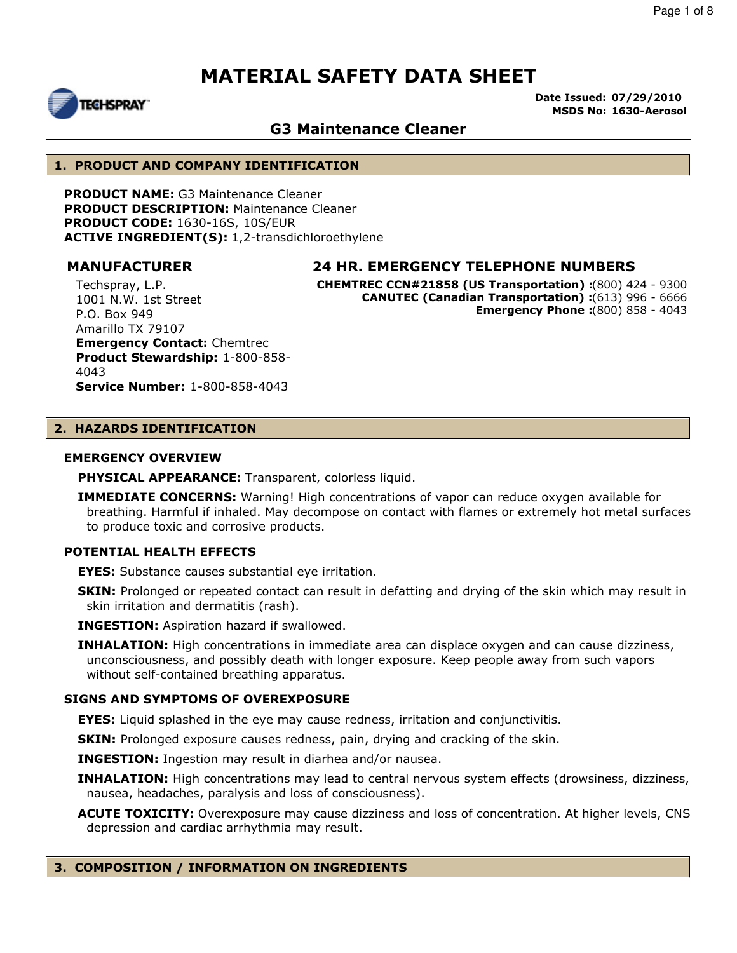

**Date Issued: 07/29/2010 MSDS No: 1630-Aerosol**

### **G3 Maintenance Cleaner**

#### **1. PRODUCT AND COMPANY IDENTIFICATION**

**PRODUCT NAME:** G3 Maintenance Cleaner **PRODUCT DESCRIPTION:** Maintenance Cleaner **PRODUCT CODE:** 1630-16S, 10S/EUR **ACTIVE INGREDIENT(S):** 1,2-transdichloroethylene

#### **MANUFACTURER 24 HR. EMERGENCY TELEPHONE NUMBERS**

**CHEMTREC CCN#21858 (US Transportation) :**(800) 424 - 9300 **CANUTEC (Canadian Transportation) :**(613) 996 - 6666 **Emergency Phone :**(800) 858 - 4043

Techspray, L.P. 1001 N.W. 1st Street P.O. Box 949 Amarillo TX 79107 **Emergency Contact:** Chemtrec **Product Stewardship:** 1-800-858- 4043 **Service Number:** 1-800-858-4043

### **2. HAZARDS IDENTIFICATION**

#### **EMERGENCY OVERVIEW**

**PHYSICAL APPEARANCE:** Transparent, colorless liquid.

**IMMEDIATE CONCERNS:** Warning! High concentrations of vapor can reduce oxygen available for breathing. Harmful if inhaled. May decompose on contact with flames or extremely hot metal surfaces to produce toxic and corrosive products.

#### **POTENTIAL HEALTH EFFECTS**

**EYES:** Substance causes substantial eye irritation.

**SKIN:** Prolonged or repeated contact can result in defatting and drying of the skin which may result in skin irritation and dermatitis (rash).

**INGESTION:** Aspiration hazard if swallowed.

**INHALATION:** High concentrations in immediate area can displace oxygen and can cause dizziness, unconsciousness, and possibly death with longer exposure. Keep people away from such vapors without self-contained breathing apparatus.

#### **SIGNS AND SYMPTOMS OF OVEREXPOSURE**

**EYES:** Liquid splashed in the eye may cause redness, irritation and conjunctivitis.

**SKIN:** Prolonged exposure causes redness, pain, drying and cracking of the skin.

**INGESTION:** Ingestion may result in diarhea and/or nausea.

**INHALATION:** High concentrations may lead to central nervous system effects (drowsiness, dizziness, nausea, headaches, paralysis and loss of consciousness).

**ACUTE TOXICITY:** Overexposure may cause dizziness and loss of concentration. At higher levels, CNS depression and cardiac arrhythmia may result.

#### **3. COMPOSITION / INFORMATION ON INGREDIENTS**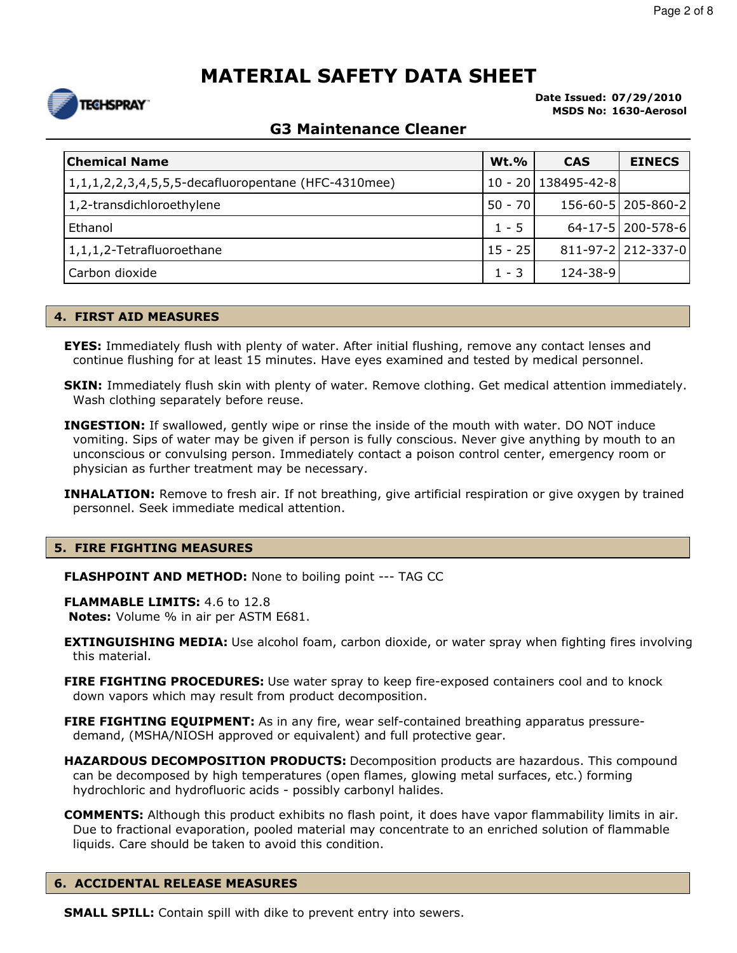**Date Issued: 07/29/2010 MSDS No: 1630-Aerosol**

# **G3 Maintenance Cleaner**

| <b>Chemical Name</b>                                | $Wt.$ %   | <b>CAS</b>          | <b>EINECS</b>        |
|-----------------------------------------------------|-----------|---------------------|----------------------|
| 1,1,1,2,2,3,4,5,5,5-decafluoropentane (HFC-4310mee) |           | 10 - 20 138495-42-8 |                      |
| 1,2-transdichloroethylene                           | $50 - 70$ |                     | 156-60-5   205-860-2 |
| Ethanol                                             | $1 - 5$   |                     | 64-17-5   200-578-6  |
| 1,1,1,2-Tetrafluoroethane                           | 15 - 25   |                     | 811-97-2 212-337-0   |
| Carbon dioxide                                      | $1 - 3$   | 124-38-9            |                      |

#### **4. FIRST AID MEASURES**

**EYES:** Immediately flush with plenty of water. After initial flushing, remove any contact lenses and continue flushing for at least 15 minutes. Have eyes examined and tested by medical personnel.

**SKIN:** Immediately flush skin with plenty of water. Remove clothing. Get medical attention immediately. Wash clothing separately before reuse.

**INGESTION:** If swallowed, gently wipe or rinse the inside of the mouth with water. DO NOT induce vomiting. Sips of water may be given if person is fully conscious. Never give anything by mouth to an unconscious or convulsing person. Immediately contact a poison control center, emergency room or physician as further treatment may be necessary.

**INHALATION:** Remove to fresh air. If not breathing, give artificial respiration or give oxygen by trained personnel. Seek immediate medical attention.

#### **5. FIRE FIGHTING MEASURES**

**FLASHPOINT AND METHOD:** None to boiling point --- TAG CC

**FLAMMABLE LIMITS:** 4.6 to 12.8 **Notes:** Volume % in air per ASTM E681.

- **EXTINGUISHING MEDIA:** Use alcohol foam, carbon dioxide, or water spray when fighting fires involving this material.
- **FIRE FIGHTING PROCEDURES:** Use water spray to keep fire-exposed containers cool and to knock down vapors which may result from product decomposition.
- **FIRE FIGHTING EQUIPMENT:** As in any fire, wear self-contained breathing apparatus pressuredemand, (MSHA/NIOSH approved or equivalent) and full protective gear.
- **HAZARDOUS DECOMPOSITION PRODUCTS:** Decomposition products are hazardous. This compound can be decomposed by high temperatures (open flames, glowing metal surfaces, etc.) forming hydrochloric and hydrofluoric acids - possibly carbonyl halides.
- **COMMENTS:** Although this product exhibits no flash point, it does have vapor flammability limits in air. Due to fractional evaporation, pooled material may concentrate to an enriched solution of flammable liquids. Care should be taken to avoid this condition.

#### **6. ACCIDENTAL RELEASE MEASURES**

**SMALL SPILL:** Contain spill with dike to prevent entry into sewers.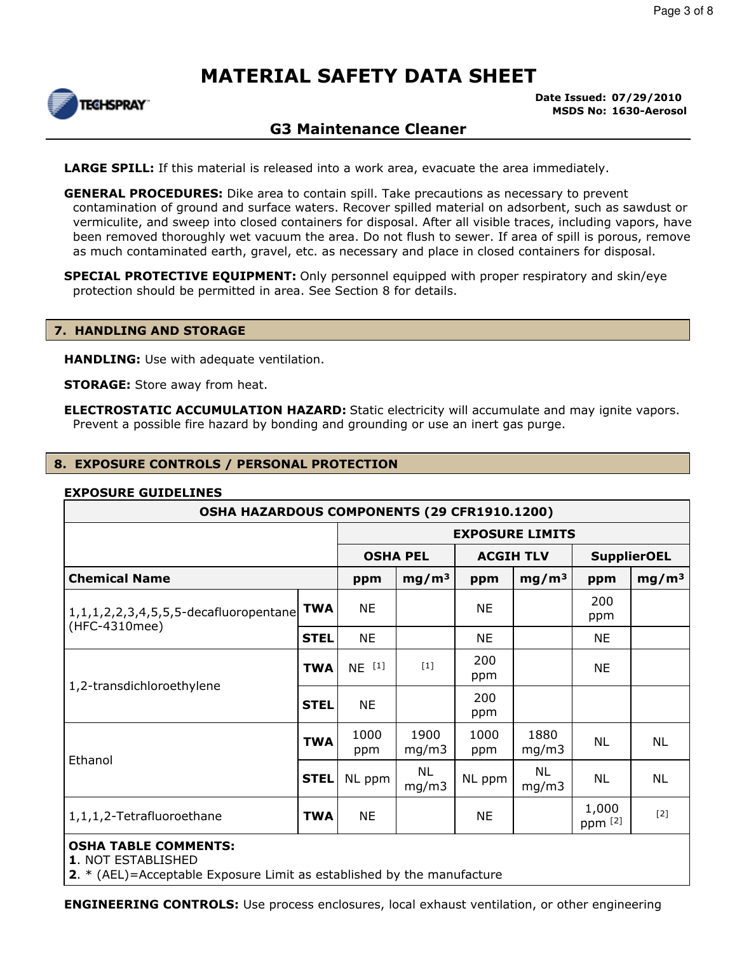

#### **Date Issued: 07/29/2010 MSDS No: 1630-Aerosol**

### **G3 Maintenance Cleaner**

**LARGE SPILL:** If this material is released into a work area, evacuate the area immediately.

**GENERAL PROCEDURES:** Dike area to contain spill. Take precautions as necessary to prevent contamination of ground and surface waters. Recover spilled material on adsorbent, such as sawdust or vermiculite, and sweep into closed containers for disposal. After all visible traces, including vapors, have been removed thoroughly wet vacuum the area. Do not flush to sewer. If area of spill is porous, remove as much contaminated earth, gravel, etc. as necessary and place in closed containers for disposal.

**SPECIAL PROTECTIVE EQUIPMENT:** Only personnel equipped with proper respiratory and skin/eye protection should be permitted in area. See Section 8 for details.

#### **7. HANDLING AND STORAGE**

**HANDLING:** Use with adequate ventilation.

**STORAGE:** Store away from heat.

**ELECTROSTATIC ACCUMULATION HAZARD:** Static electricity will accumulate and may ignite vapors. Prevent a possible fire hazard by bonding and grounding or use an inert gas purge.

#### **8. EXPOSURE CONTROLS / PERSONAL PROTECTION**

#### **EXPOSURE GUIDELINES**

| OSHA HAZARDOUS COMPONENTS (29 CFR1910.1200)                     |             |                                                           |                    |             |                    |                  |                   |
|-----------------------------------------------------------------|-------------|-----------------------------------------------------------|--------------------|-------------|--------------------|------------------|-------------------|
|                                                                 |             | <b>EXPOSURE LIMITS</b>                                    |                    |             |                    |                  |                   |
|                                                                 |             | <b>OSHA PEL</b><br><b>ACGIH TLV</b><br><b>SupplierOEL</b> |                    |             |                    |                  |                   |
| <b>Chemical Name</b>                                            |             | ppm                                                       | mg/m <sup>3</sup>  | ppm         | mg/m <sup>3</sup>  | ppm              | mg/m <sup>3</sup> |
| 1, 1, 1, 2, 2, 3, 4, 5, 5, 5-decafluoropentane<br>(HFC-4310mee) | <b>TWA</b>  | <b>NE</b>                                                 |                    | <b>NE</b>   |                    | 200<br>ppm       |                   |
|                                                                 | <b>STEL</b> | <b>NE</b>                                                 |                    | <b>NE</b>   |                    | <b>NE</b>        |                   |
| 1,2-transdichloroethylene                                       | <b>TWA</b>  | $NE$ $[1]$                                                | $[1]$              | 200<br>ppm  |                    | NE               |                   |
|                                                                 | <b>STEL</b> | <b>NE</b>                                                 |                    | 200<br>ppm  |                    |                  |                   |
| Ethanol                                                         | <b>TWA</b>  | 1000<br>ppm                                               | 1900<br>mg/m3      | 1000<br>ppm | 1880<br>mg/m3      | NL               | <b>NL</b>         |
|                                                                 | <b>STEL</b> | NL ppm                                                    | <b>NL</b><br>mg/m3 | NL ppm      | <b>NL</b><br>mg/m3 | NL               | <b>NL</b>         |
| 1,1,1,2-Tetrafluoroethane                                       | <b>TWA</b>  | <b>NE</b>                                                 |                    | ΝE          |                    | 1,000<br>ppm [2] | $[2]$             |
| <b>OSHA TABLE COMMENTS:</b>                                     |             |                                                           |                    |             |                    |                  |                   |

**1**. NOT ESTABLISHED

**2**. \* (AEL)=Acceptable Exposure Limit as established by the manufacture

**ENGINEERING CONTROLS:** Use process enclosures, local exhaust ventilation, or other engineering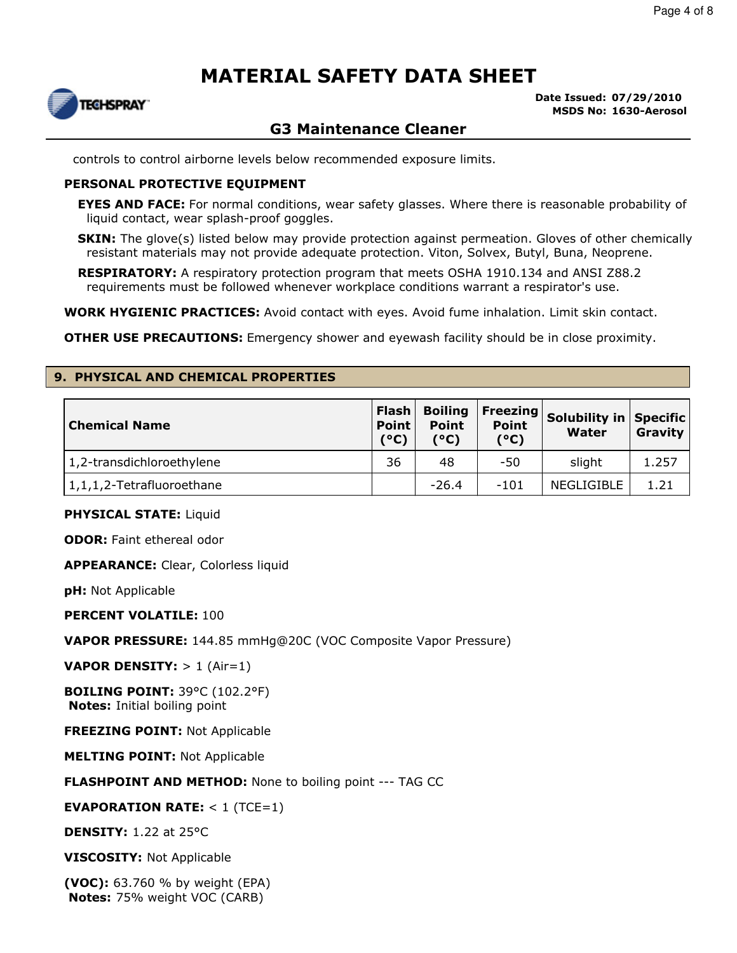

**Date Issued: 07/29/2010 MSDS No: 1630-Aerosol**

## **G3 Maintenance Cleaner**

controls to control airborne levels below recommended exposure limits.

#### **PERSONAL PROTECTIVE EQUIPMENT**

**EYES AND FACE:** For normal conditions, wear safety glasses. Where there is reasonable probability of liquid contact, wear splash-proof goggles.

**SKIN:** The glove(s) listed below may provide protection against permeation. Gloves of other chemically resistant materials may not provide adequate protection. Viton, Solvex, Butyl, Buna, Neoprene.

**RESPIRATORY:** A respiratory protection program that meets OSHA 1910.134 and ANSI Z88.2 requirements must be followed whenever workplace conditions warrant a respirator's use.

**WORK HYGIENIC PRACTICES:** Avoid contact with eyes. Avoid fume inhalation. Limit skin contact.

**OTHER USE PRECAUTIONS:** Emergency shower and eyewash facility should be in close proximity.

#### **9. PHYSICAL AND CHEMICAL PROPERTIES**

| <b>Chemical Name</b>          | Flash<br>Point<br>(°C) | <b>Boiling</b><br><b>Point</b><br>'°C) | Freezing<br><b>Point</b><br>(°C) | Solubility in Specific<br><b>Water</b> | Gravity |
|-------------------------------|------------------------|----------------------------------------|----------------------------------|----------------------------------------|---------|
| 1,2-transdichloroethylene     | 36                     | 48                                     | -50                              | slight                                 | 1.257   |
| $ 1,1,1,2$ -Tetrafluoroethane |                        | $-26.4$                                | $-101$                           | NEGLIGIBLE                             | 1.21    |

#### **PHYSICAL STATE:** Liquid

**ODOR:** Faint ethereal odor

**APPEARANCE:** Clear, Colorless liquid

**pH:** Not Applicable

**PERCENT VOLATILE:** 100

**VAPOR PRESSURE:** 144.85 mmHg@20C (VOC Composite Vapor Pressure)

**VAPOR DENSITY:** > 1 (Air=1)

**BOILING POINT:** 39°C (102.2°F) **Notes:** Initial boiling point

**FREEZING POINT:** Not Applicable

**MELTING POINT:** Not Applicable

#### **FLASHPOINT AND METHOD:** None to boiling point --- TAG CC

#### **EVAPORATION RATE:** < 1 (TCE=1)

**DENSITY:** 1.22 at 25°C

**VISCOSITY:** Not Applicable

**(VOC):** 63.760 % by weight (EPA) **Notes:** 75% weight VOC (CARB)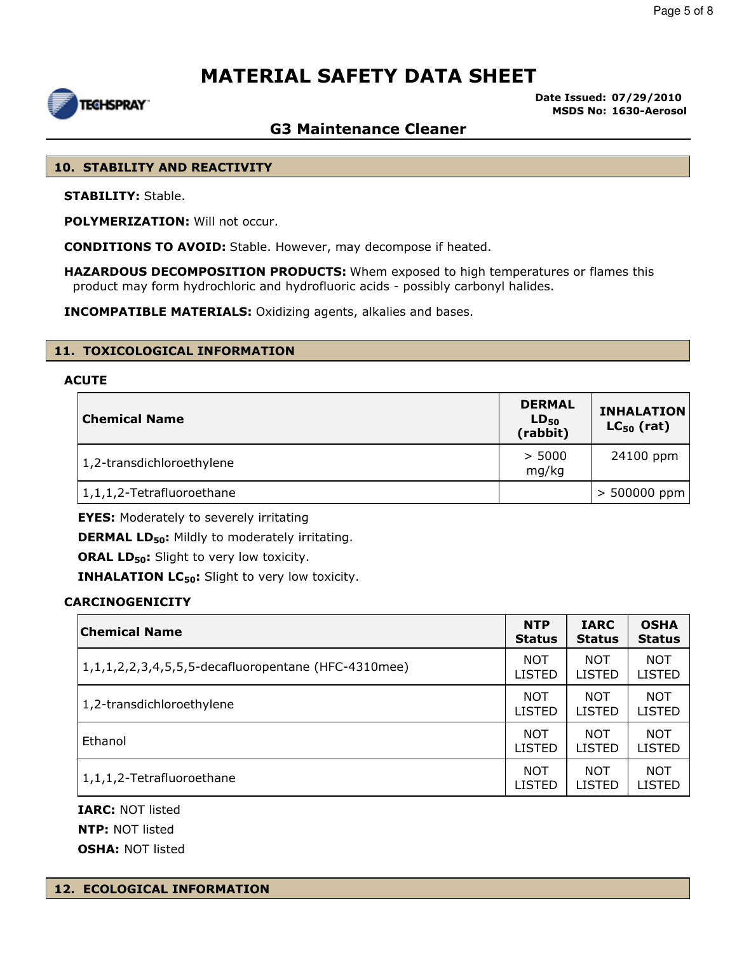

**Date Issued: 07/29/2010 MSDS No: 1630-Aerosol**

### **G3 Maintenance Cleaner**

#### **10. STABILITY AND REACTIVITY**

**STABILITY:** Stable.

**POLYMERIZATION:** Will not occur.

**CONDITIONS TO AVOID:** Stable. However, may decompose if heated.

**HAZARDOUS DECOMPOSITION PRODUCTS:** Whem exposed to high temperatures or flames this product may form hydrochloric and hydrofluoric acids - possibly carbonyl halides.

**INCOMPATIBLE MATERIALS:** Oxidizing agents, alkalies and bases.

#### **11. TOXICOLOGICAL INFORMATION**

#### **ACUTE**

| <b>Chemical Name</b>      | <b>DERMAL</b><br>$LD_{50}$<br>(rabbit) | <b>INHALATION</b><br>$LC_{50}$ (rat) |
|---------------------------|----------------------------------------|--------------------------------------|
| 1,2-transdichloroethylene | > 5000<br>mg/kg                        | 24100 ppm                            |
| 1,1,1,2-Tetrafluoroethane |                                        | $> 500000$ ppm                       |

**EYES:** Moderately to severely irritating

**DERMAL LD50:** Mildly to moderately irritating.

**ORAL LD<sub>50</sub>:** Slight to very low toxicity.

**INHALATION LC50:** Slight to very low toxicity.

#### **CARCINOGENICITY**

| <b>Chemical Name</b>                                | <b>NTP</b>    | <b>IARC</b>   | <b>OSHA</b>   |
|-----------------------------------------------------|---------------|---------------|---------------|
|                                                     | <b>Status</b> | <b>Status</b> | <b>Status</b> |
| 1,1,1,2,2,3,4,5,5,5-decafluoropentane (HFC-4310mee) | <b>NOT</b>    | <b>NOT</b>    | <b>NOT</b>    |
|                                                     | <b>LISTED</b> | <b>LISTED</b> | LISTED        |
| 1,2-transdichloroethylene                           | <b>NOT</b>    | <b>NOT</b>    | <b>NOT</b>    |
|                                                     | <b>LISTED</b> | <b>LISTED</b> | <b>LISTED</b> |
| Ethanol                                             | <b>NOT</b>    | <b>NOT</b>    | <b>NOT</b>    |
|                                                     | <b>LISTED</b> | <b>LISTED</b> | <b>LISTED</b> |
| 1,1,1,2-Tetrafluoroethane                           | NOT           | <b>NOT</b>    | <b>NOT</b>    |
|                                                     | <b>LISTED</b> | <b>LISTED</b> | LISTED        |

**IARC:** NOT listed **NTP:** NOT listed **OSHA:** NOT listed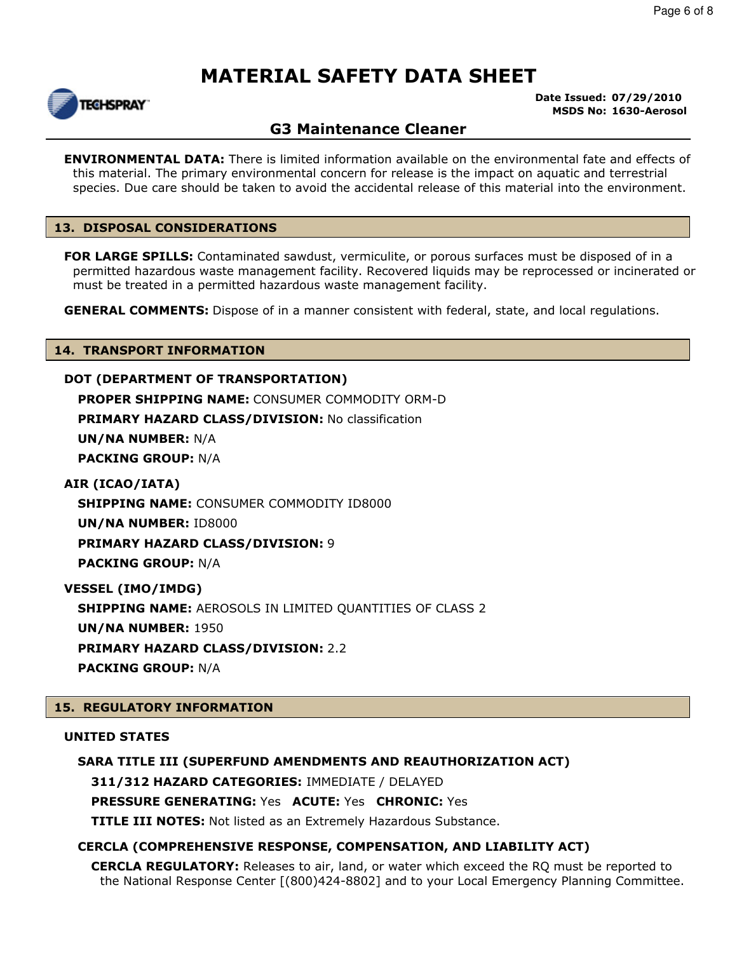

#### **Date Issued: 07/29/2010 MSDS No: 1630-Aerosol**

## **G3 Maintenance Cleaner**

**ENVIRONMENTAL DATA:** There is limited information available on the environmental fate and effects of this material. The primary environmental concern for release is the impact on aquatic and terrestrial species. Due care should be taken to avoid the accidental release of this material into the environment.

#### **13. DISPOSAL CONSIDERATIONS**

**FOR LARGE SPILLS:** Contaminated sawdust, vermiculite, or porous surfaces must be disposed of in a permitted hazardous waste management facility. Recovered liquids may be reprocessed or incinerated or must be treated in a permitted hazardous waste management facility.

**GENERAL COMMENTS:** Dispose of in a manner consistent with federal, state, and local regulations.

#### **14. TRANSPORT INFORMATION**

#### **DOT (DEPARTMENT OF TRANSPORTATION)**

**PROPER SHIPPING NAME:** CONSUMER COMMODITY ORM-D

**PRIMARY HAZARD CLASS/DIVISION: No classification** 

**UN/NA NUMBER:** N/A

**PACKING GROUP:** N/A

#### **AIR (ICAO/IATA)**

**SHIPPING NAME:** CONSUMER COMMODITY ID8000

**UN/NA NUMBER:** ID8000

**PRIMARY HAZARD CLASS/DIVISION:** 9

**PACKING GROUP:** N/A

**VESSEL (IMO/IMDG)**

**SHIPPING NAME:** AEROSOLS IN LIMITED QUANTITIES OF CLASS 2

**UN/NA NUMBER:** 1950

**PRIMARY HAZARD CLASS/DIVISION:** 2.2

**PACKING GROUP:** N/A

### **15. REGULATORY INFORMATION**

#### **UNITED STATES**

#### **SARA TITLE III (SUPERFUND AMENDMENTS AND REAUTHORIZATION ACT)**

**311/312 HAZARD CATEGORIES:** IMMEDIATE / DELAYED

**PRESSURE GENERATING:** Yes **ACUTE:** Yes **CHRONIC:** Yes

**TITLE III NOTES:** Not listed as an Extremely Hazardous Substance.

### **CERCLA (COMPREHENSIVE RESPONSE, COMPENSATION, AND LIABILITY ACT)**

**CERCLA REGULATORY:** Releases to air, land, or water which exceed the RQ must be reported to the National Response Center [(800)424-8802] and to your Local Emergency Planning Committee.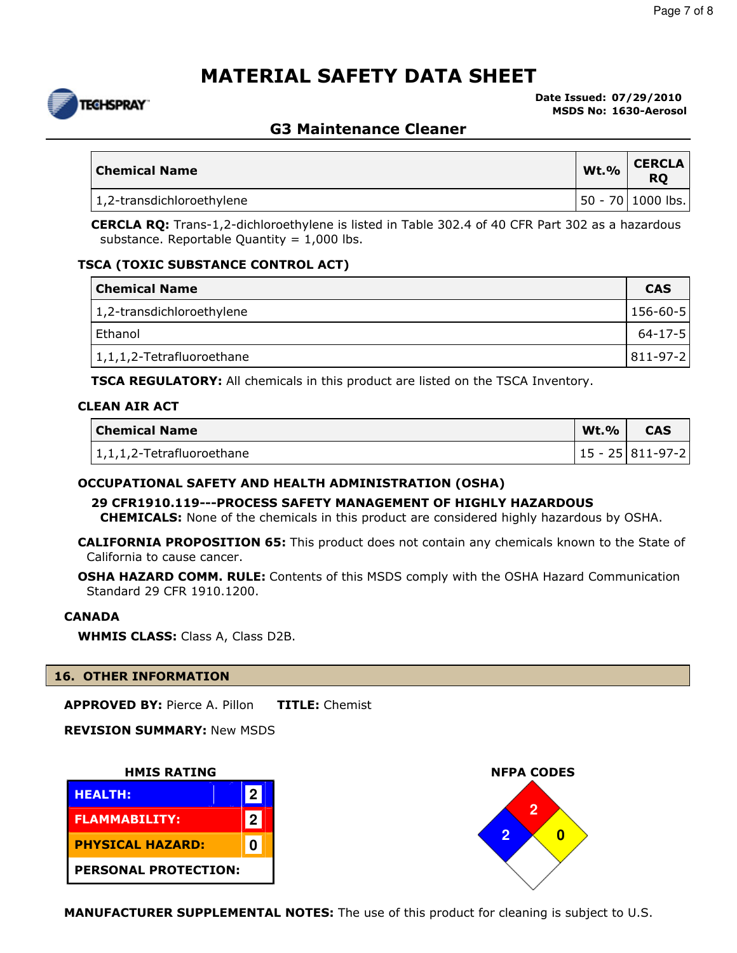

**Date Issued: 07/29/2010 MSDS No: 1630-Aerosol**

### **G3 Maintenance Cleaner**

| <b>Chemical Name</b>      | <b>Wt.%</b> | <b>CERCLA</b><br><b>RO</b> |
|---------------------------|-------------|----------------------------|
| 1,2-transdichloroethylene |             | 50 - 70   1000 lbs.        |

**CERCLA RQ:** Trans-1,2-dichloroethylene is listed in Table 302.4 of 40 CFR Part 302 as a hazardous substance. Reportable Quantity =  $1,000$  lbs.

#### **TSCA (TOXIC SUBSTANCE CONTROL ACT)**

| <b>Chemical Name</b>          | <b>CAS</b> |
|-------------------------------|------------|
| 1,2-transdichloroethylene     | 156-60-5   |
| Ethanol                       | 64-17-5    |
| $ 1,1,1,2$ -Tetrafluoroethane | 811-97-2   |

**TSCA REGULATORY:** All chemicals in this product are listed on the TSCA Inventory.

#### **CLEAN AIR ACT**

| <b>Chemical Name</b>              | <b>Wt.%</b> | <b>CAS</b>         |
|-----------------------------------|-------------|--------------------|
| $\vert$ 1,1,1,2-Tetrafluoroethane |             | 15 - 25   811-97-2 |

#### **OCCUPATIONAL SAFETY AND HEALTH ADMINISTRATION (OSHA)**

**29 CFR1910.119---PROCESS SAFETY MANAGEMENT OF HIGHLY HAZARDOUS**

**CHEMICALS:** None of the chemicals in this product are considered highly hazardous by OSHA.

**CALIFORNIA PROPOSITION 65:** This product does not contain any chemicals known to the State of California to cause cancer.

**OSHA HAZARD COMM. RULE:** Contents of this MSDS comply with the OSHA Hazard Communication Standard 29 CFR 1910.1200.

#### **CANADA**

**WHMIS CLASS:** Class A, Class D2B.

#### **16. OTHER INFORMATION**

**APPROVED BY:** Pierce A. Pillon **TITLE:** Chemist

**REVISION SUMMARY:** New MSDS







**MANUFACTURER SUPPLEMENTAL NOTES:** The use of this product for cleaning is subject to U.S.